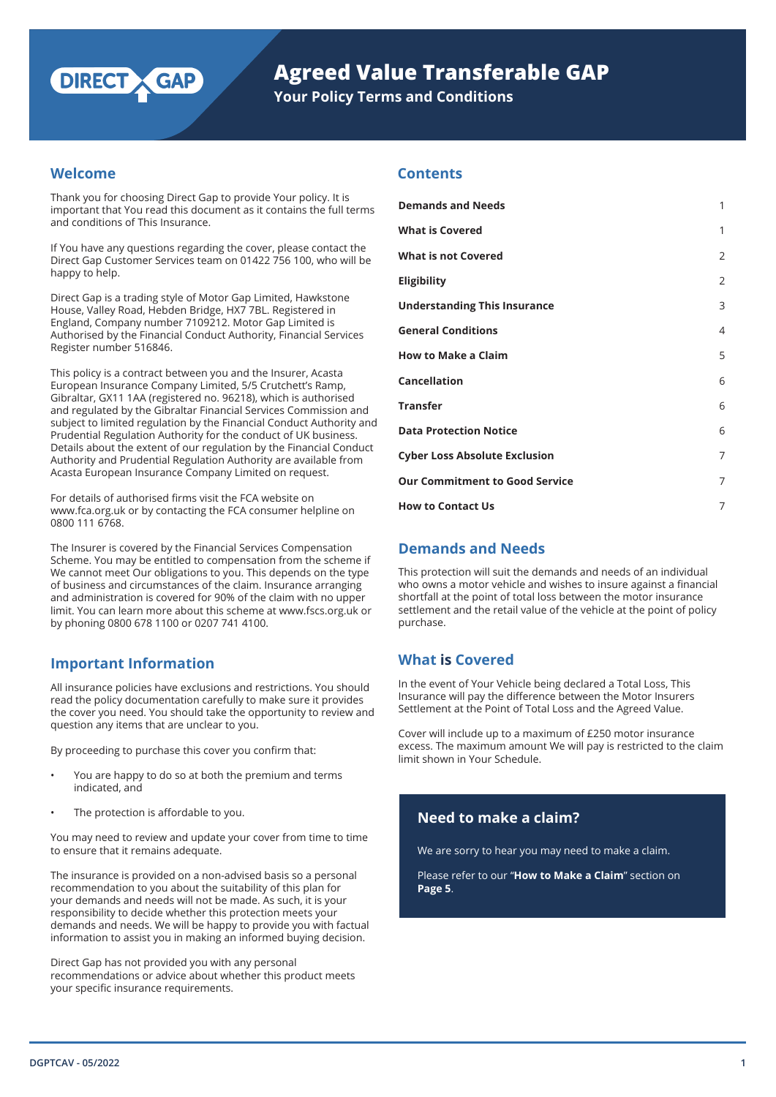

# **Agreed Value Transferable GAP**

**Your Policy Terms and Conditions**

## **Welcome**

Thank you for choosing Direct Gap to provide Your policy. It is important that You read this document as it contains the full terms and conditions of This Insurance.

If You have any questions regarding the cover, please contact the Direct Gap Customer Services team on 01422 756 100, who will be happy to help.

Direct Gap is a trading style of Motor Gap Limited, Hawkstone House, Valley Road, Hebden Bridge, HX7 7BL. Registered in England, Company number 7109212. Motor Gap Limited is Authorised by the Financial Conduct Authority, Financial Services Register number 516846.

This policy is a contract between you and the Insurer, Acasta European Insurance Company Limited, 5/5 Crutchett's Ramp, Gibraltar, GX11 1AA (registered no. 96218), which is authorised and regulated by the Gibraltar Financial Services Commission and subject to limited regulation by the Financial Conduct Authority and Prudential Regulation Authority for the conduct of UK business. Details about the extent of our regulation by the Financial Conduct Authority and Prudential Regulation Authority are available from Acasta European Insurance Company Limited on request.

For details of authorised firms visit the FCA website on www.fca.org.uk or by contacting the FCA consumer helpline on 0800 111 6768.

The Insurer is covered by the Financial Services Compensation Scheme. You may be entitled to compensation from the scheme if We cannot meet Our obligations to you. This depends on the type of business and circumstances of the claim. Insurance arranging and administration is covered for 90% of the claim with no upper limit. You can learn more about this scheme at www.fscs.org.uk or by phoning 0800 678 1100 or 0207 741 4100.

## **Important Information**

All insurance policies have exclusions and restrictions. You should read the policy documentation carefully to make sure it provides the cover you need. You should take the opportunity to review and question any items that are unclear to you.

By proceeding to purchase this cover you confirm that:

- You are happy to do so at both the premium and terms indicated, and
- The protection is affordable to you.

You may need to review and update your cover from time to time to ensure that it remains adequate.

The insurance is provided on a non-advised basis so a personal recommendation to you about the suitability of this plan for your demands and needs will not be made. As such, it is your responsibility to decide whether this protection meets your demands and needs. We will be happy to provide you with factual information to assist you in making an informed buying decision.

Direct Gap has not provided you with any personal recommendations or advice about whether this product meets your specific insurance requirements.

## **Contents**

| <b>Demands and Needs</b>              | 1              |
|---------------------------------------|----------------|
| <b>What is Covered</b>                | 1              |
| <b>What is not Covered</b>            | $\overline{2}$ |
| <b>Eligibility</b>                    | $\overline{2}$ |
| <b>Understanding This Insurance</b>   | 3              |
| <b>General Conditions</b>             | $\overline{4}$ |
| <b>How to Make a Claim</b>            | 5              |
| <b>Cancellation</b>                   | 6              |
| <b>Transfer</b>                       | 6              |
| <b>Data Protection Notice</b>         | 6              |
| <b>Cyber Loss Absolute Exclusion</b>  | 7              |
| <b>Our Commitment to Good Service</b> | 7              |
| <b>How to Contact Us</b>              | 7              |

## **Demands and Needs**

This protection will suit the demands and needs of an individual who owns a motor vehicle and wishes to insure against a financial shortfall at the point of total loss between the motor insurance settlement and the retail value of the vehicle at the point of policy purchase.

## **What is Covered**

In the event of Your Vehicle being declared a Total Loss, This Insurance will pay the difference between the Motor Insurers Settlement at the Point of Total Loss and the Agreed Value.

Cover will include up to a maximum of £250 motor insurance excess. The maximum amount We will pay is restricted to the claim limit shown in Your Schedule.

## **Need to make a claim?**

We are sorry to hear you may need to make a claim.

Please refer to our "**How to Make a Claim**" section on **Page 5**.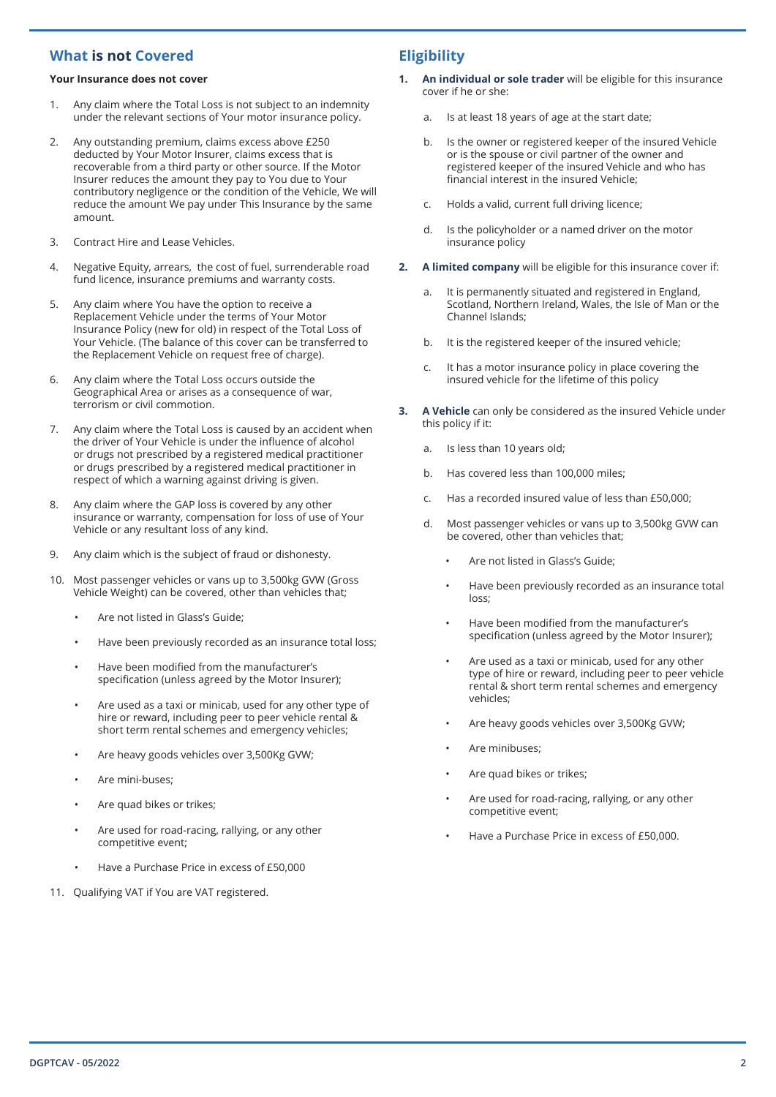## **What is not Covered**

#### **Your Insurance does not cover**

- 1. Any claim where the Total Loss is not subject to an indemnity under the relevant sections of Your motor insurance policy.
- 2. Any outstanding premium, claims excess above £250 deducted by Your Motor Insurer, claims excess that is recoverable from a third party or other source. If the Motor Insurer reduces the amount they pay to You due to Your contributory negligence or the condition of the Vehicle, We will reduce the amount We pay under This Insurance by the same amount.
- 3. Contract Hire and Lease Vehicles.
- 4. Negative Equity, arrears, the cost of fuel, surrenderable road fund licence, insurance premiums and warranty costs.
- 5. Any claim where You have the option to receive a Replacement Vehicle under the terms of Your Motor Insurance Policy (new for old) in respect of the Total Loss of Your Vehicle. (The balance of this cover can be transferred to the Replacement Vehicle on request free of charge).
- 6. Any claim where the Total Loss occurs outside the Geographical Area or arises as a consequence of war, terrorism or civil commotion.
- 7. Any claim where the Total Loss is caused by an accident when the driver of Your Vehicle is under the influence of alcohol or drugs not prescribed by a registered medical practitioner or drugs prescribed by a registered medical practitioner in respect of which a warning against driving is given.
- 8. Any claim where the GAP loss is covered by any other insurance or warranty, compensation for loss of use of Your Vehicle or any resultant loss of any kind.
- 9. Any claim which is the subject of fraud or dishonesty.
- 10. Most passenger vehicles or vans up to 3,500kg GVW (Gross Vehicle Weight) can be covered, other than vehicles that;
	- Are not listed in Glass's Guide;
	- Have been previously recorded as an insurance total loss;
	- Have been modified from the manufacturer's specification (unless agreed by the Motor Insurer);
	- Are used as a taxi or minicab, used for any other type of hire or reward, including peer to peer vehicle rental & short term rental schemes and emergency vehicles;
	- Are heavy goods vehicles over 3,500Kg GVW;
	- Are mini-buses;
	- Are quad bikes or trikes;
	- Are used for road-racing, rallying, or any other competitive event;
	- Have a Purchase Price in excess of £50,000
- 11. Qualifying VAT if You are VAT registered.

## **Eligibility**

- **1. An individual or sole trader** will be eligible for this insurance cover if he or she:
	- a. Is at least 18 years of age at the start date;
	- b. Is the owner or registered keeper of the insured Vehicle or is the spouse or civil partner of the owner and registered keeper of the insured Vehicle and who has financial interest in the insured Vehicle;
	- c. Holds a valid, current full driving licence;
	- d. Is the policyholder or a named driver on the motor insurance policy
- **2. A limited company** will be eligible for this insurance cover if:
	- a. It is permanently situated and registered in England, Scotland, Northern Ireland, Wales, the Isle of Man or the Channel Islands;
	- b. It is the registered keeper of the insured vehicle;
	- c. It has a motor insurance policy in place covering the insured vehicle for the lifetime of this policy
- **3. A Vehicle** can only be considered as the insured Vehicle under this policy if it:
	- a. Is less than 10 years old;
	- b. Has covered less than 100,000 miles;
	- c. Has a recorded insured value of less than £50,000;
	- d. Most passenger vehicles or vans up to 3,500kg GVW can be covered, other than vehicles that;
		- Are not listed in Glass's Guide:
		- Have been previously recorded as an insurance total loss;
		- Have been modified from the manufacturer's specification (unless agreed by the Motor Insurer);
		- Are used as a taxi or minicab, used for any other type of hire or reward, including peer to peer vehicle rental & short term rental schemes and emergency vehicles;
		- Are heavy goods vehicles over 3,500Kg GVW;
		- Are minibuses;
		- Are quad bikes or trikes;
		- Are used for road-racing, rallying, or any other competitive event;
		- Have a Purchase Price in excess of £50,000.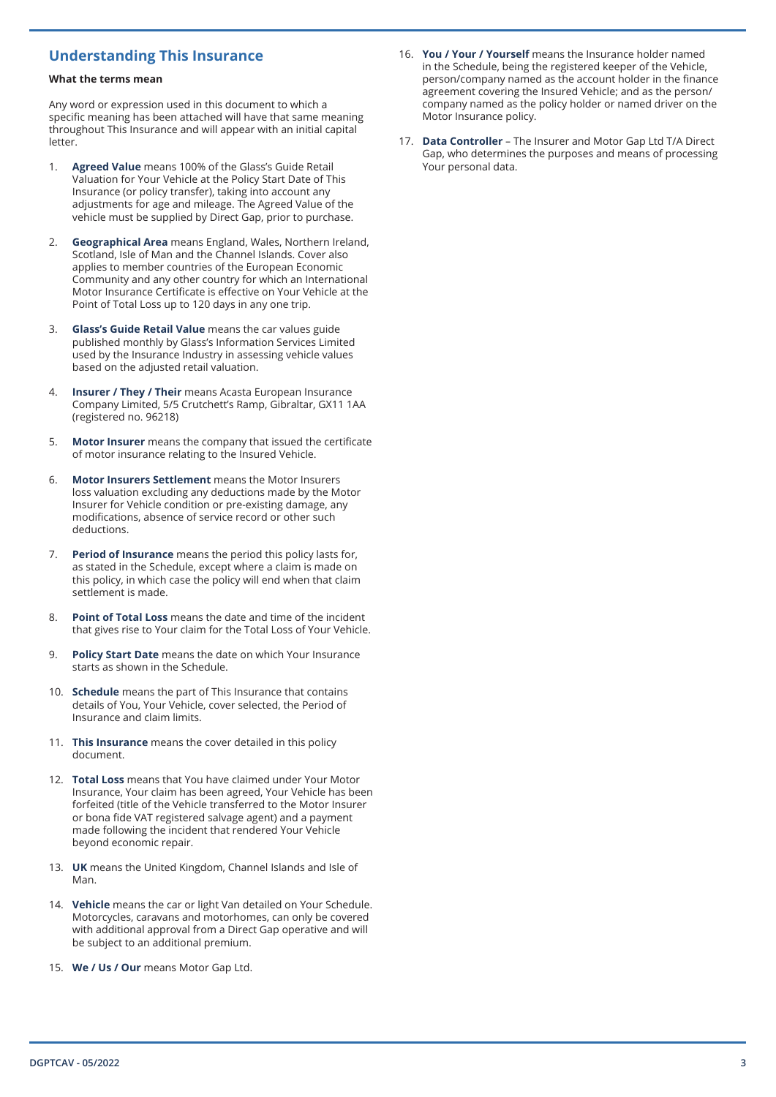#### **What the terms mean**

Any word or expression used in this document to which a specific meaning has been attached will have that same meaning throughout This Insurance and will appear with an initial capital letter.

- 1. **Agreed Value** means 100% of the Glass's Guide Retail Valuation for Your Vehicle at the Policy Start Date of This Insurance (or policy transfer), taking into account any adjustments for age and mileage. The Agreed Value of the vehicle must be supplied by Direct Gap, prior to purchase.
- 2. **Geographical Area** means England, Wales, Northern Ireland, Scotland, Isle of Man and the Channel Islands. Cover also applies to member countries of the European Economic Community and any other country for which an International Motor Insurance Certificate is effective on Your Vehicle at the Point of Total Loss up to 120 days in any one trip.
- 3. **Glass's Guide Retail Value** means the car values guide published monthly by Glass's Information Services Limited used by the Insurance Industry in assessing vehicle values based on the adjusted retail valuation.
- 4. **Insurer / They / Their** means Acasta European Insurance Company Limited, 5/5 Crutchett's Ramp, Gibraltar, GX11 1AA (registered no. 96218)
- 5. **Motor Insurer** means the company that issued the certificate of motor insurance relating to the Insured Vehicle.
- 6. **Motor Insurers Settlement** means the Motor Insurers loss valuation excluding any deductions made by the Motor Insurer for Vehicle condition or pre-existing damage, any modifications, absence of service record or other such deductions.
- 7. **Period of Insurance** means the period this policy lasts for, as stated in the Schedule, except where a claim is made on this policy, in which case the policy will end when that claim settlement is made.
- 8. **Point of Total Loss** means the date and time of the incident that gives rise to Your claim for the Total Loss of Your Vehicle.
- 9. **Policy Start Date** means the date on which Your Insurance starts as shown in the Schedule.
- 10. **Schedule** means the part of This Insurance that contains details of You, Your Vehicle, cover selected, the Period of Insurance and claim limits.
- 11. **This Insurance** means the cover detailed in this policy document.
- 12. **Total Loss** means that You have claimed under Your Motor Insurance, Your claim has been agreed, Your Vehicle has been forfeited (title of the Vehicle transferred to the Motor Insurer or bona fide VAT registered salvage agent) and a payment made following the incident that rendered Your Vehicle beyond economic repair.
- 13. **UK** means the United Kingdom, Channel Islands and Isle of Man.
- 14. **Vehicle** means the car or light Van detailed on Your Schedule. Motorcycles, caravans and motorhomes, can only be covered with additional approval from a Direct Gap operative and will be subject to an additional premium.
- 15. **We / Us / Our** means Motor Gap Ltd.
- **Understanding This Insurance** 16. You / Your / Yourself means the Insurance holder named in the Schedule, being the registered keeper of the Vehicle, person/company named as the account holder in the finance agreement covering the Insured Vehicle; and as the person/ company named as the policy holder or named driver on the Motor Insurance policy.
	- 17. **Data Controller** The Insurer and Motor Gap Ltd T/A Direct Gap, who determines the purposes and means of processing Your personal data.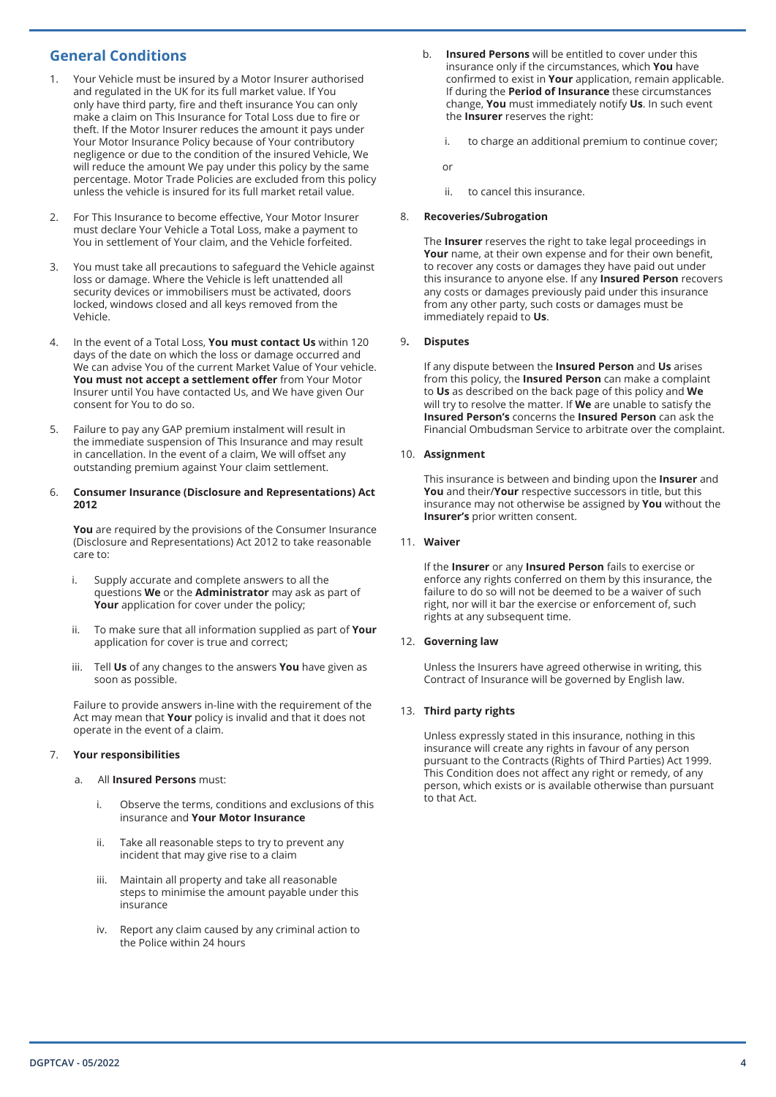## **General Conditions**

- 1. Your Vehicle must be insured by a Motor Insurer authorised and regulated in the UK for its full market value. If You only have third party, fire and theft insurance You can only make a claim on This Insurance for Total Loss due to fire or theft. If the Motor Insurer reduces the amount it pays under Your Motor Insurance Policy because of Your contributory negligence or due to the condition of the insured Vehicle, We will reduce the amount We pay under this policy by the same percentage. Motor Trade Policies are excluded from this policy unless the vehicle is insured for its full market retail value.
- 2. For This Insurance to become effective, Your Motor Insurer must declare Your Vehicle a Total Loss, make a payment to You in settlement of Your claim, and the Vehicle forfeited.
- 3. You must take all precautions to safeguard the Vehicle against loss or damage. Where the Vehicle is left unattended all security devices or immobilisers must be activated, doors locked, windows closed and all keys removed from the Vehicle.
- 4. In the event of a Total Loss, **You must contact Us** within 120 days of the date on which the loss or damage occurred and We can advise You of the current Market Value of Your vehicle. **You must not accept a settlement offer** from Your Motor Insurer until You have contacted Us, and We have given Our consent for You to do so.
- 5. Failure to pay any GAP premium instalment will result in the immediate suspension of This Insurance and may result in cancellation. In the event of a claim, We will offset any outstanding premium against Your claim settlement.

#### 6. **Consumer Insurance (Disclosure and Representations) Act 2012**

**You** are required by the provisions of the Consumer Insurance (Disclosure and Representations) Act 2012 to take reasonable care to:

- i. Supply accurate and complete answers to all the questions **We** or the **Administrator** may ask as part of **Your** application for cover under the policy;
- ii. To make sure that all information supplied as part of **Your**  application for cover is true and correct;
- iii. Tell **Us** of any changes to the answers **You** have given as soon as possible.

Failure to provide answers in-line with the requirement of the Act may mean that **Your** policy is invalid and that it does not operate in the event of a claim.

#### 7. **Your responsibilities**

- a. All **Insured Persons** must:
	- i. Observe the terms, conditions and exclusions of this insurance and **Your Motor Insurance**
	- ii. Take all reasonable steps to try to prevent any incident that may give rise to a claim
	- iii. Maintain all property and take all reasonable steps to minimise the amount payable under this insurance
	- iv. Report any claim caused by any criminal action to the Police within 24 hours
- b. **Insured Persons** will be entitled to cover under this insurance only if the circumstances, which **You** have confirmed to exist in **Your** application, remain applicable. If during the **Period of Insurance** these circumstances change, **You** must immediately notify **Us**. In such event the **Insurer** reserves the right:
	- i. to charge an additional premium to continue cover;

or

ii. to cancel this insurance.

### 8. **Recoveries/Subrogation**

The **Insurer** reserves the right to take legal proceedings in **Your** name, at their own expense and for their own benefit, to recover any costs or damages they have paid out under this insurance to anyone else. If any **Insured Person** recovers any costs or damages previously paid under this insurance from any other party, such costs or damages must be immediately repaid to **Us**.

#### 9**. Disputes**

If any dispute between the **Insured Person** and **Us** arises from this policy, the **Insured Person** can make a complaint to **Us** as described on the back page of this policy and **We** will try to resolve the matter. If **We** are unable to satisfy the **Insured Person's** concerns the **Insured Person** can ask the Financial Ombudsman Service to arbitrate over the complaint.

#### 10. **Assignment**

This insurance is between and binding upon the **Insurer** and **You** and their/**Your** respective successors in title, but this insurance may not otherwise be assigned by **You** without the **Insurer's** prior written consent.

#### 11. **Waiver**

If the **Insurer** or any **Insured Person** fails to exercise or enforce any rights conferred on them by this insurance, the failure to do so will not be deemed to be a waiver of such right, nor will it bar the exercise or enforcement of, such rights at any subsequent time.

#### 12. **Governing law**

Unless the Insurers have agreed otherwise in writing, this Contract of Insurance will be governed by English law.

#### 13. **Third party rights**

Unless expressly stated in this insurance, nothing in this insurance will create any rights in favour of any person pursuant to the Contracts (Rights of Third Parties) Act 1999. This Condition does not affect any right or remedy, of any person, which exists or is available otherwise than pursuant to that Act.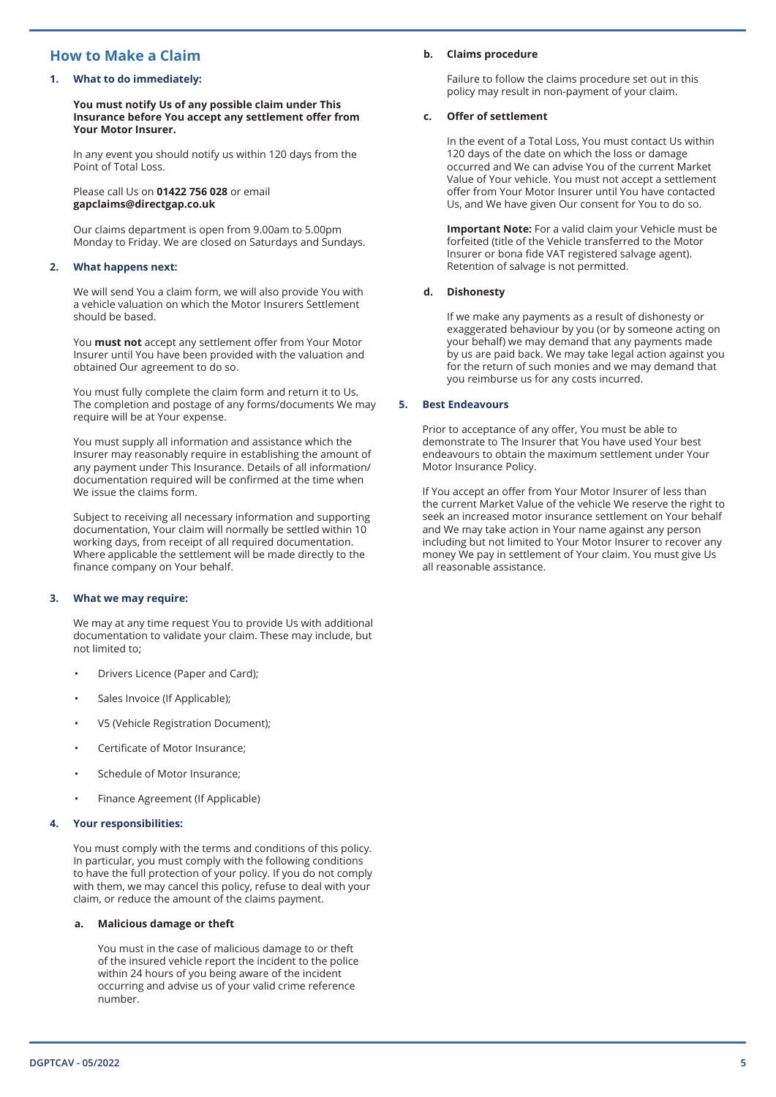## **How to Make a Claim**

#### **1. What to do immediately:**

**You must notify Us of any possible claim under This Insurance before You accept any settlement offer from Your Motor Insurer.**

In any event you should notify us within 120 days from the Point of Total Loss.

Please call Us on **01422 756 028** or email **gapclaims@directgap.co.uk**

Our claims department is open from 9.00am to 5.00pm Monday to Friday. We are closed on Saturdays and Sundays.

#### **2. What happens next:**

We will send You a claim form, we will also provide You with a vehicle valuation on which the Motor Insurers Settlement should be based.

You **must not** accept any settlement offer from Your Motor Insurer until You have been provided with the valuation and obtained Our agreement to do so.

You must fully complete the claim form and return it to Us. The completion and postage of any forms/documents We may require will be at Your expense.

You must supply all information and assistance which the Insurer may reasonably require in establishing the amount of any payment under This Insurance. Details of all information/ documentation required will be confirmed at the time when We issue the claims form.

Subject to receiving all necessary information and supporting documentation, Your claim will normally be settled within 10 working days, from receipt of all required documentation. Where applicable the settlement will be made directly to the finance company on Your behalf.

#### **3. What we may require:**

We may at any time request You to provide Us with additional documentation to validate your claim. These may include, but not limited to;

- Drivers Licence (Paper and Card);
- Sales Invoice (If Applicable);
- V5 (Vehicle Registration Document);
- Certificate of Motor Insurance;
- Schedule of Motor Insurance;
- Finance Agreement (If Applicable)

### **4. Your responsibilities:**

You must comply with the terms and conditions of this policy. In particular, you must comply with the following conditions to have the full protection of your policy. If you do not comply with them, we may cancel this policy, refuse to deal with your claim, or reduce the amount of the claims payment.

#### **a. Malicious damage or theft**

You must in the case of malicious damage to or theft of the insured vehicle report the incident to the police within 24 hours of you being aware of the incident occurring and advise us of your valid crime reference number.

#### **b. Claims procedure**

Failure to follow the claims procedure set out in this policy may result in non-payment of your claim.

#### **c. Offer of settlement**

In the event of a Total Loss, You must contact Us within 120 days of the date on which the loss or damage occurred and We can advise You of the current Market Value of Your vehicle. You must not accept a settlement offer from Your Motor Insurer until You have contacted Us, and We have given Our consent for You to do so.

**Important Note:** For a valid claim your Vehicle must be forfeited (title of the Vehicle transferred to the Motor Insurer or bona fide VAT registered salvage agent). Retention of salvage is not permitted.

#### **d. Dishonesty**

If we make any payments as a result of dishonesty or exaggerated behaviour by you (or by someone acting on your behalf) we may demand that any payments made by us are paid back. We may take legal action against you for the return of such monies and we may demand that you reimburse us for any costs incurred.

#### **5. Best Endeavours**

Prior to acceptance of any offer, You must be able to demonstrate to The Insurer that You have used Your best endeavours to obtain the maximum settlement under Your Motor Insurance Policy.

If You accept an offer from Your Motor Insurer of less than the current Market Value of the vehicle We reserve the right to seek an increased motor insurance settlement on Your behalf and We may take action in Your name against any person including but not limited to Your Motor Insurer to recover any money We pay in settlement of Your claim. You must give Us all reasonable assistance.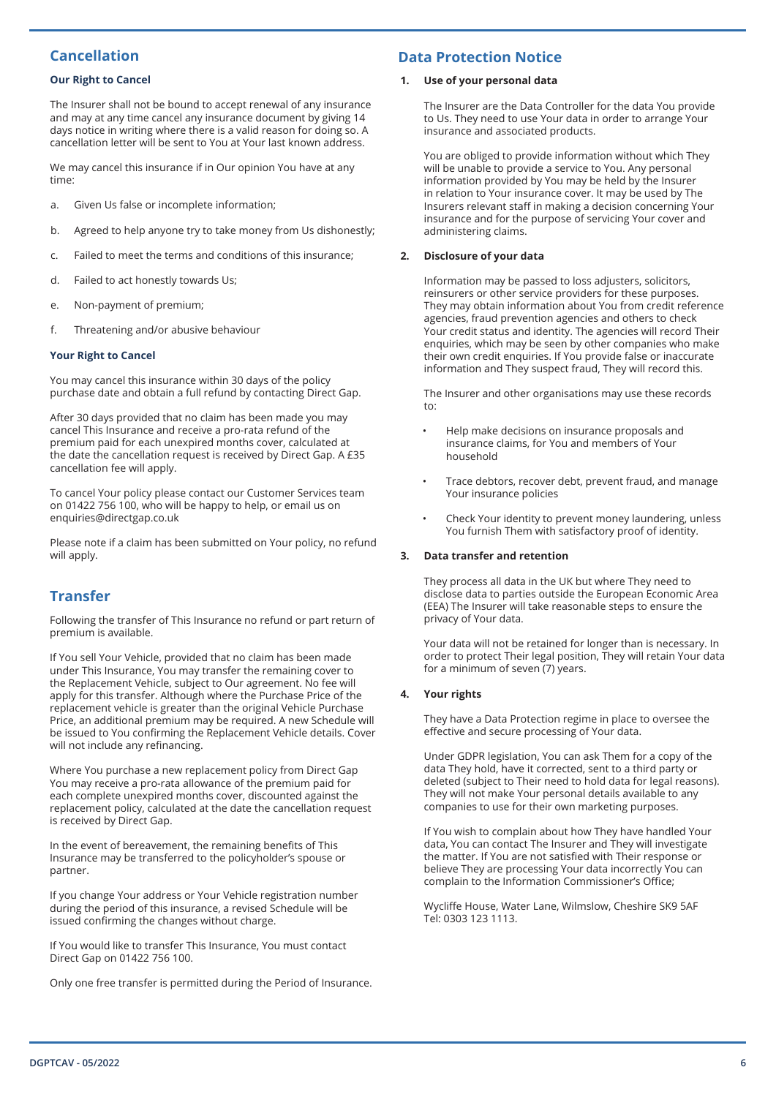## **Cancellation**

### **Our Right to Cancel**

The Insurer shall not be bound to accept renewal of any insurance and may at any time cancel any insurance document by giving 14 days notice in writing where there is a valid reason for doing so. A cancellation letter will be sent to You at Your last known address.

We may cancel this insurance if in Our opinion You have at any time:

- a. Given Us false or incomplete information;
- b. Agreed to help anyone try to take money from Us dishonestly;
- c. Failed to meet the terms and conditions of this insurance;
- d. Failed to act honestly towards Us;
- e. Non-payment of premium;
- f. Threatening and/or abusive behaviour

#### **Your Right to Cancel**

You may cancel this insurance within 30 days of the policy purchase date and obtain a full refund by contacting Direct Gap.

After 30 days provided that no claim has been made you may cancel This Insurance and receive a pro-rata refund of the premium paid for each unexpired months cover, calculated at the date the cancellation request is received by Direct Gap. A £35 cancellation fee will apply.

To cancel Your policy please contact our Customer Services team on 01422 756 100, who will be happy to help, or email us on enquiries@directgap.co.uk

Please note if a claim has been submitted on Your policy, no refund will apply.

## **Transfer**

Following the transfer of This Insurance no refund or part return of premium is available.

If You sell Your Vehicle, provided that no claim has been made under This Insurance, You may transfer the remaining cover to the Replacement Vehicle, subject to Our agreement. No fee will apply for this transfer. Although where the Purchase Price of the replacement vehicle is greater than the original Vehicle Purchase Price, an additional premium may be required. A new Schedule will be issued to You confirming the Replacement Vehicle details. Cover will not include any refinancing.

Where You purchase a new replacement policy from Direct Gap You may receive a pro-rata allowance of the premium paid for each complete unexpired months cover, discounted against the replacement policy, calculated at the date the cancellation request is received by Direct Gap.

In the event of bereavement, the remaining benefits of This Insurance may be transferred to the policyholder's spouse or partner.

If you change Your address or Your Vehicle registration number during the period of this insurance, a revised Schedule will be issued confirming the changes without charge.

If You would like to transfer This Insurance, You must contact Direct Gap on 01422 756 100.

Only one free transfer is permitted during the Period of Insurance.

## **Data Protection Notice**

#### **1. Use of your personal data**

The Insurer are the Data Controller for the data You provide to Us. They need to use Your data in order to arrange Your insurance and associated products.

You are obliged to provide information without which They will be unable to provide a service to You. Any personal information provided by You may be held by the Insurer in relation to Your insurance cover. It may be used by The Insurers relevant staff in making a decision concerning Your insurance and for the purpose of servicing Your cover and administering claims.

#### **2. Disclosure of your data**

Information may be passed to loss adjusters, solicitors, reinsurers or other service providers for these purposes. They may obtain information about You from credit reference agencies, fraud prevention agencies and others to check Your credit status and identity. The agencies will record Their enquiries, which may be seen by other companies who make their own credit enquiries. If You provide false or inaccurate information and They suspect fraud, They will record this.

The Insurer and other organisations may use these records to:

- Help make decisions on insurance proposals and insurance claims, for You and members of Your household
- Trace debtors, recover debt, prevent fraud, and manage Your insurance policies
- Check Your identity to prevent money laundering, unless You furnish Them with satisfactory proof of identity.

#### **3. Data transfer and retention**

They process all data in the UK but where They need to disclose data to parties outside the European Economic Area (EEA) The Insurer will take reasonable steps to ensure the privacy of Your data.

Your data will not be retained for longer than is necessary. In order to protect Their legal position, They will retain Your data for a minimum of seven (7) years.

#### **4. Your rights**

They have a Data Protection regime in place to oversee the effective and secure processing of Your data.

Under GDPR legislation, You can ask Them for a copy of the data They hold, have it corrected, sent to a third party or deleted (subject to Their need to hold data for legal reasons). They will not make Your personal details available to any companies to use for their own marketing purposes.

If You wish to complain about how They have handled Your data, You can contact The Insurer and They will investigate the matter. If You are not satisfied with Their response or believe They are processing Your data incorrectly You can complain to the Information Commissioner's Office;

Wycliffe House, Water Lane, Wilmslow, Cheshire SK9 5AF Tel: 0303 123 1113.